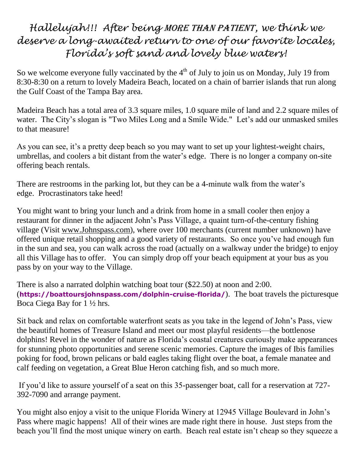## *Hallelujah!!! After being* more than patient*, we think we deserve a long-awaited return to one of our favorite locales, Florida's soft sand and lovely blue waters!*

So we welcome everyone fully vaccinated by the  $4<sup>th</sup>$  of July to join us on Monday, July 19 from 8:30-8:30 on a return to lovely Madeira Beach, located on a chain of barrier islands that run along the Gulf Coast of the Tampa Bay area.

Madeira Beach has a total area of 3.3 square miles, 1.0 square mile of land and 2.2 square miles of water. The City's slogan is "Two Miles Long and a Smile Wide." Let's add our unmasked smiles to that measure!

As you can see, it's a pretty deep beach so you may want to set up your lightest-weight chairs, umbrellas, and coolers a bit distant from the water's edge. There is no longer a company on-site offering beach rentals.

There are restrooms in the parking lot, but they can be a 4-minute walk from the water's edge. Procrastinators take heed!

You might want to bring your lunch and a drink from home in a small cooler then enjoy a restaurant for dinner in the adjacent John's Pass Village, a quaint turn-of-the-century fishing village (Visit [www.Johnspass.com\)](about:blank), where over 100 merchants (current number unknown) have offered unique retail shopping and a good variety of restaurants. So once you've had enough fun in the sun and sea, you can walk across the road (actually on a walkway under the bridge) to enjoy all this Village has to offer. You can simply drop off your beach equipment at your bus as you pass by on your way to the Village.

There is also a narrated dolphin watching boat tour (\$22.50) at noon and 2:00. (**https://boattoursjohnspass.com/dolphin-cruise-florida/**). The boat travels the picturesque Boca Ciega Bay for 1 ½ hrs.

Sit back and relax on comfortable waterfront seats as you take in the legend of John's Pass, view the beautiful homes of Treasure Island and meet our most playful residents—the bottlenose dolphins! Revel in the wonder of nature as Florida's coastal creatures curiously make appearances for stunning photo opportunities and serene scenic memories. Capture the images of Ibis families poking for food, brown pelicans or bald eagles taking flight over the boat, a female manatee and calf feeding on vegetation, a Great Blue Heron catching fish, and so much more.

If you'd like to assure yourself of a seat on this 35-passenger boat, call for a reservation at 727- 392-7090 and arrange payment.

You might also enjoy a visit to the unique Florida Winery at 12945 Village Boulevard in John's Pass where magic happens! All of their wines are made right there in house. Just steps from the beach you'll find the most unique winery on earth. Beach real estate isn't cheap so they squeeze a